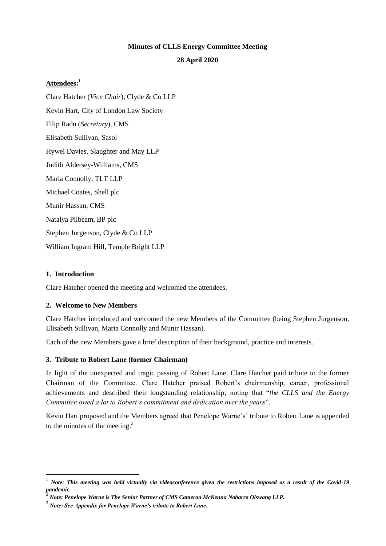# **Minutes of CLLS Energy Committee Meeting**

#### **28 April 2020**

## **Attendees: 1**

Clare Hatcher (*Vice Chair*), Clyde & Co LLP Kevin Hart, City of London Law Society Filip Radu (*Secretary*), CMS Elisabeth Sullivan, Sasol Hywel Davies, Slaughter and May LLP Judith Aldersey-Williams, CMS Maria Connolly, TLT LLP Michael Coates, Shell plc Munir Hassan, CMS Natalya Pilbeam, BP plc Stephen Jurgenson, Clyde & Co LLP William Ingram Hill, Temple Bright LLP

### **1. Introduction**

l

Clare Hatcher opened the meeting and welcomed the attendees.

### **2. Welcome to New Members**

Clare Hatcher introduced and welcomed the new Members of the Committee (being Stephen Jurgenson, Elisabeth Sullivan, Maria Connolly and Munir Hassan).

Each of the new Members gave a brief description of their background, practice and interests.

### **3. Tribute to Robert Lane (former Chairman)**

In light of the unexpected and tragic passing of Robert Lane, Clare Hatcher paid tribute to the former Chairman of the Committee. Clare Hatcher praised Robert's chairmanship, career, professional achievements and described their longstanding relationship, noting that "*the CLLS and the Energy Committee owed a lot to Robert's commitment and dedication over the years*".

Kevin Hart proposed and the Members agreed that Penelope Warne's<sup>2</sup> tribute to Robert Lane is appended to the minutes of the meeting. $3$ 

<sup>1</sup> *Note: This meeting was held virtually via videoconference given the restrictions imposed as a result of the Covid-19 pandemic.*

 $\overline{c}$ *Note: Penelope Warne is The Senior Partner of CMS Cameron McKenna Nabarro Olswang LLP.*

<sup>3</sup> *Note: See Appendix for Penelope Warne's tribute to Robert Lane.*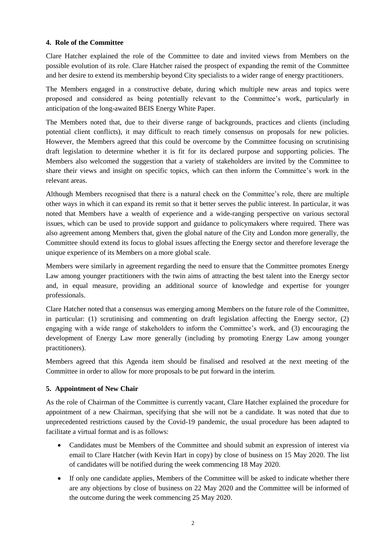#### **4. Role of the Committee**

Clare Hatcher explained the role of the Committee to date and invited views from Members on the possible evolution of its role. Clare Hatcher raised the prospect of expanding the remit of the Committee and her desire to extend its membership beyond City specialists to a wider range of energy practitioners.

The Members engaged in a constructive debate, during which multiple new areas and topics were proposed and considered as being potentially relevant to the Committee's work, particularly in anticipation of the long-awaited BEIS Energy White Paper.

The Members noted that, due to their diverse range of backgrounds, practices and clients (including potential client conflicts), it may difficult to reach timely consensus on proposals for new policies. However, the Members agreed that this could be overcome by the Committee focusing on scrutinising draft legislation to determine whether it is fit for its declared purpose and supporting policies. The Members also welcomed the suggestion that a variety of stakeholders are invited by the Committee to share their views and insight on specific topics, which can then inform the Committee's work in the relevant areas.

Although Members recognised that there is a natural check on the Committee's role, there are multiple other ways in which it can expand its remit so that it better serves the public interest. In particular, it was noted that Members have a wealth of experience and a wide-ranging perspective on various sectoral issues, which can be used to provide support and guidance to policymakers where required. There was also agreement among Members that, given the global nature of the City and London more generally, the Committee should extend its focus to global issues affecting the Energy sector and therefore leverage the unique experience of its Members on a more global scale.

Members were similarly in agreement regarding the need to ensure that the Committee promotes Energy Law among younger practitioners with the twin aims of attracting the best talent into the Energy sector and, in equal measure, providing an additional source of knowledge and expertise for younger professionals.

Clare Hatcher noted that a consensus was emerging among Members on the future role of the Committee, in particular: (1) scrutinising and commenting on draft legislation affecting the Energy sector, (2) engaging with a wide range of stakeholders to inform the Committee's work, and (3) encouraging the development of Energy Law more generally (including by promoting Energy Law among younger practitioners).

Members agreed that this Agenda item should be finalised and resolved at the next meeting of the Committee in order to allow for more proposals to be put forward in the interim.

### **5. Appointment of New Chair**

As the role of Chairman of the Committee is currently vacant, Clare Hatcher explained the procedure for appointment of a new Chairman, specifying that she will not be a candidate. It was noted that due to unprecedented restrictions caused by the Covid-19 pandemic, the usual procedure has been adapted to facilitate a virtual format and is as follows:

- Candidates must be Members of the Committee and should submit an expression of interest via email to Clare Hatcher (with Kevin Hart in copy) by close of business on 15 May 2020. The list of candidates will be notified during the week commencing 18 May 2020.
- If only one candidate applies, Members of the Committee will be asked to indicate whether there are any objections by close of business on 22 May 2020 and the Committee will be informed of the outcome during the week commencing 25 May 2020.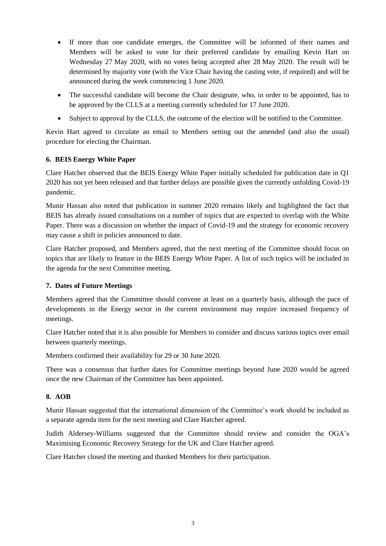- If more than one candidate emerges, the Committee will be informed of their names and Members will be asked to vote for their preferred candidate by emailing Kevin Hart on Wednesday 27 May 2020, with no votes being accepted after 28 May 2020. The result will be determined by majority vote (with the Vice Chair having the casting vote, if required) and will be announced during the week commencing 1 June 2020.
- The successful candidate will become the Chair designate, who, in order to be appointed, has to be approved by the CLLS at a meeting currently scheduled for 17 June 2020.
- Subject to approval by the CLLS, the outcome of the election will be notified to the Committee.

Kevin Hart agreed to circulate an email to Members setting out the amended (and also the usual) procedure for electing the Chairman.

### **6. BEIS Energy White Paper**

Clare Hatcher observed that the BEIS Energy White Paper initially scheduled for publication date in Q1 2020 has not yet been released and that further delays are possible given the currently unfolding Covid-19 pandemic.

Munir Hassan also noted that publication in summer 2020 remains likely and highlighted the fact that BEIS has already issued consultations on a number of topics that are expected to overlap with the White Paper. There was a discussion on whether the impact of Covid-19 and the strategy for economic recovery may cause a shift in policies announced to date.

Clare Hatcher proposed, and Members agreed, that the next meeting of the Committee should focus on topics that are likely to feature in the BEIS Energy White Paper. A list of such topics will be included in the agenda for the next Committee meeting.

# **7. Dates of Future Meetings**

Members agreed that the Committee should convene at least on a quarterly basis, although the pace of developments in the Energy sector in the current environment may require increased frequency of meetings.

Clare Hatcher noted that it is also possible for Members to consider and discuss various topics over email between quarterly meetings.

Members confirmed their availability for 29 or 30 June 2020.

There was a consensus that further dates for Committee meetings beyond June 2020 would be agreed once the new Chairman of the Committee has been appointed.

### **8. AOB**

Munir Hassan suggested that the international dimension of the Committee's work should be included as a separate agenda item for the next meeting and Clare Hatcher agreed.

Judith Aldersey-Williams suggested that the Committee should review and consider the OGA's Maximising Economic Recovery Strategy for the UK and Clare Hatcher agreed.

Clare Hatcher closed the meeting and thanked Members for their participation.